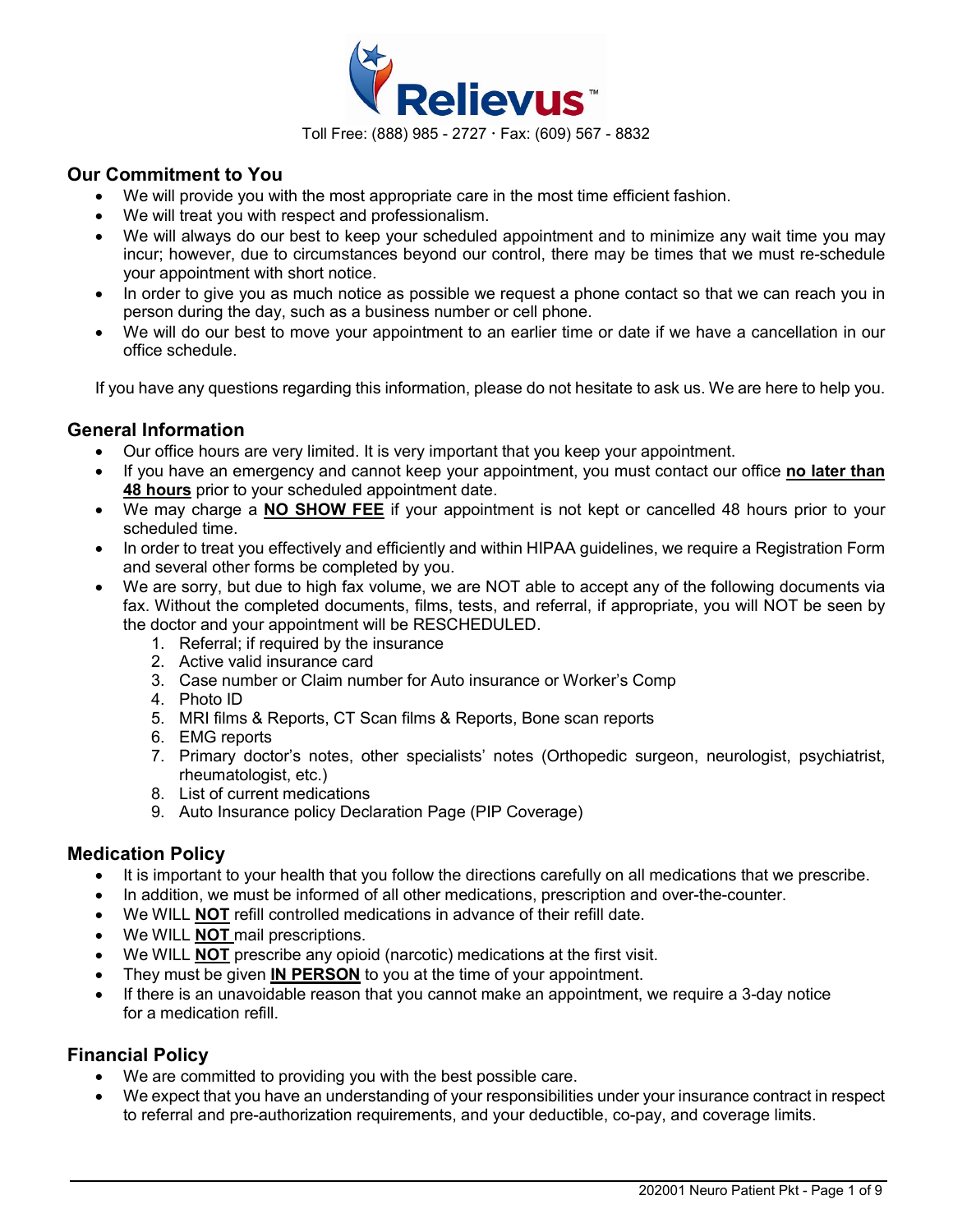

## **Our Commitment to You**

- We will provide you with the most appropriate care in the most time efficient fashion.
- We will treat you with respect and professionalism.
- We will always do our best to keep your scheduled appointment and to minimize any wait time you may incur; however, due to circumstances beyond our control, there may be times that we must re-schedule your appointment with short notice.
- In order to give you as much notice as possible we request a phone contact so that we can reach you in person during the day, such as a business number or cell phone.
- We will do our best to move your appointment to an earlier time or date if we have a cancellation in our office schedule.

If you have any questions regarding this information, please do not hesitate to ask us. We are here to help you.

### **General Information**

- Our office hours are very limited. It is very important that you keep your appointment.
- If you have an emergency and cannot keep your appointment, you must contact our office **no later than 48 hours** prior to your scheduled appointment date.
- We may charge a **NO SHOW FEE** if your appointment is not kept or cancelled 48 hours prior to your scheduled time.
- In order to treat you effectively and efficiently and within HIPAA guidelines, we require a Registration Form and several other forms be completed by you.
- We are sorry, but due to high fax volume, we are NOT able to accept any of the following documents via fax. Without the completed documents, films, tests, and referral, if appropriate, you will NOT be seen by the doctor and your appointment will be RESCHEDULED.
	- 1. Referral; if required by the insurance
	- 2. Active valid insurance card
	- 3. Case number or Claim number for Auto insurance or Worker's Comp
	- 4. Photo ID
	- 5. MRI films & Reports, CT Scan films & Reports, Bone scan reports
	- 6. EMG reports
	- 7. Primary doctor's notes, other specialists' notes (Orthopedic surgeon, neurologist, psychiatrist, rheumatologist, etc.)
	- 8. List of current medications
	- 9. Auto Insurance policy Declaration Page (PIP Coverage)

### **Medication Policy**

- It is important to your health that you follow the directions carefully on all medications that we prescribe.
- In addition, we must be informed of all other medications, prescription and over-the-counter.
- We WILL **NOT** refill controlled medications in advance of their refill date.
- We WILL **NOT** mail prescriptions.
- We WILL **NOT** prescribe any opioid (narcotic) medications at the first visit.
- They must be given **IN PERSON** to you at the time of your appointment.
- If there is an unavoidable reason that you cannot make an appointment, we require a 3-day notice for a medication refill

### **Financial Policy**

- We are committed to providing you with the best possible care.
- We expect that you have an understanding of your responsibilities under your insurance contract in respect to referral and pre-authorization requirements, and your deductible, co-pay, and coverage limits.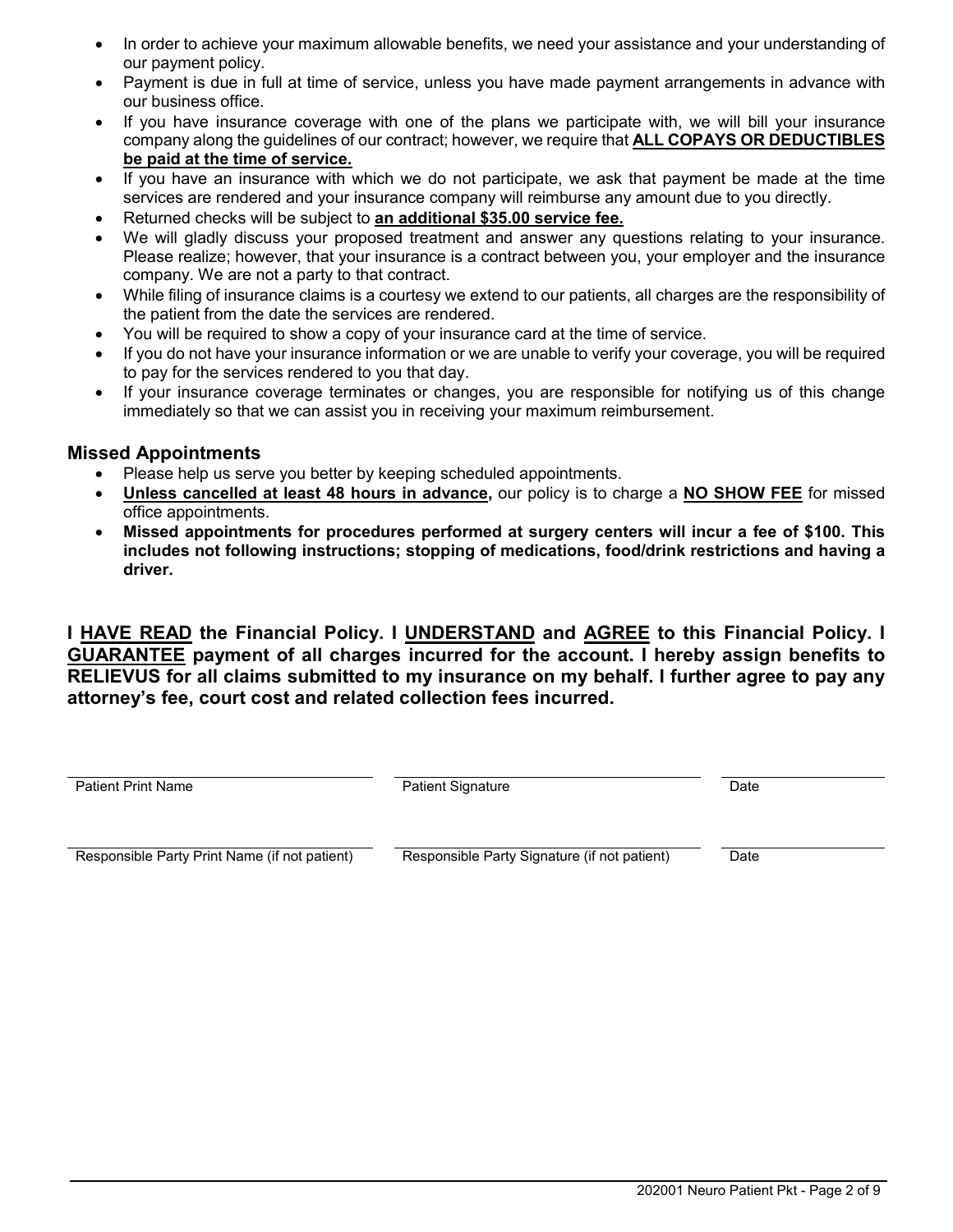- In order to achieve your maximum allowable benefits, we need your assistance and your understanding of our payment policy.
- Payment is due in full at time of service, unless you have made payment arrangements in advance with our business office.
- If you have insurance coverage with one of the plans we participate with, we will bill your insurance company along the guidelines of our contract; however, we require that **ALL COPAYS OR DEDUCTIBLES be paid at the time of service.**
- If you have an insurance with which we do not participate, we ask that payment be made at the time services are rendered and your insurance company will reimburse any amount due to you directly.
- Returned checks will be subject to **an additional \$35.00 service fee.**
- We will gladly discuss your proposed treatment and answer any questions relating to your insurance. Please realize; however, that your insurance is a contract between you, your employer and the insurance company. We are not a party to that contract.
- While filing of insurance claims is a courtesy we extend to our patients, all charges are the responsibility of the patient from the date the services are rendered.
- You will be required to show a copy of your insurance card at the time of service.
- If you do not have your insurance information or we are unable to verify your coverage, you will be required to pay for the services rendered to you that day.
- If your insurance coverage terminates or changes, you are responsible for notifying us of this change immediately so that we can assist you in receiving your maximum reimbursement.

## **Missed Appointments**

- Please help us serve you better by keeping scheduled appointments.
- **Unless cancelled at least 48 hours in advance,** our policy is to charge a **NO SHOW FEE** for missed office appointments.
- **Missed appointments for procedures performed at surgery centers will incur a fee of \$100. This includes not following instructions; stopping of medications, food/drink restrictions and having a driver.**

**I HAVE READ the Financial Policy. I UNDERSTAND and AGREE to this Financial Policy. I GUARANTEE payment of all charges incurred for the account. I hereby assign benefits to RELIEVUS for all claims submitted to my insurance on my behalf. I further agree to pay any attorney's fee, court cost and related collection fees incurred.**

Patient Print Name **Patient Signature** Patient Signature **Date** Date

Responsible Party Print Name (if not patient) Responsible Party Signature (if not patient) Date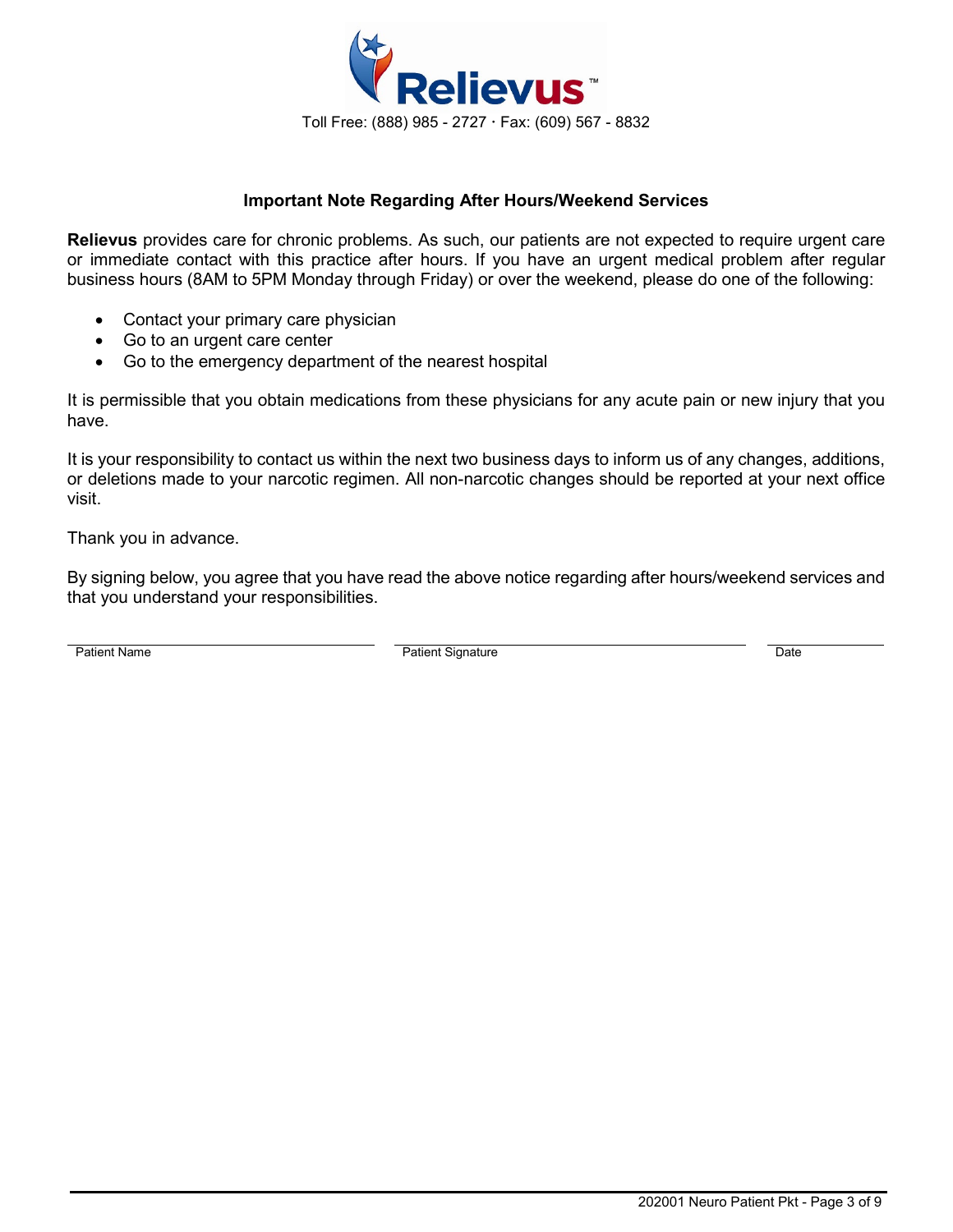

### **Important Note Regarding After Hours/Weekend Services**

**Relievus** provides care for chronic problems. As such, our patients are not expected to require urgent care or immediate contact with this practice after hours. If you have an urgent medical problem after regular business hours (8AM to 5PM Monday through Friday) or over the weekend, please do one of the following:

- Contact your primary care physician
- Go to an urgent care center
- Go to the emergency department of the nearest hospital

It is permissible that you obtain medications from these physicians for any acute pain or new injury that you have.

It is your responsibility to contact us within the next two business days to inform us of any changes, additions, or deletions made to your narcotic regimen. All non-narcotic changes should be reported at your next office visit.

Thank you in advance.

By signing below, you agree that you have read the above notice regarding after hours/weekend services and that you understand your responsibilities.

Patient Name **Date Contains Container Containers** Patient Signature Date Date Date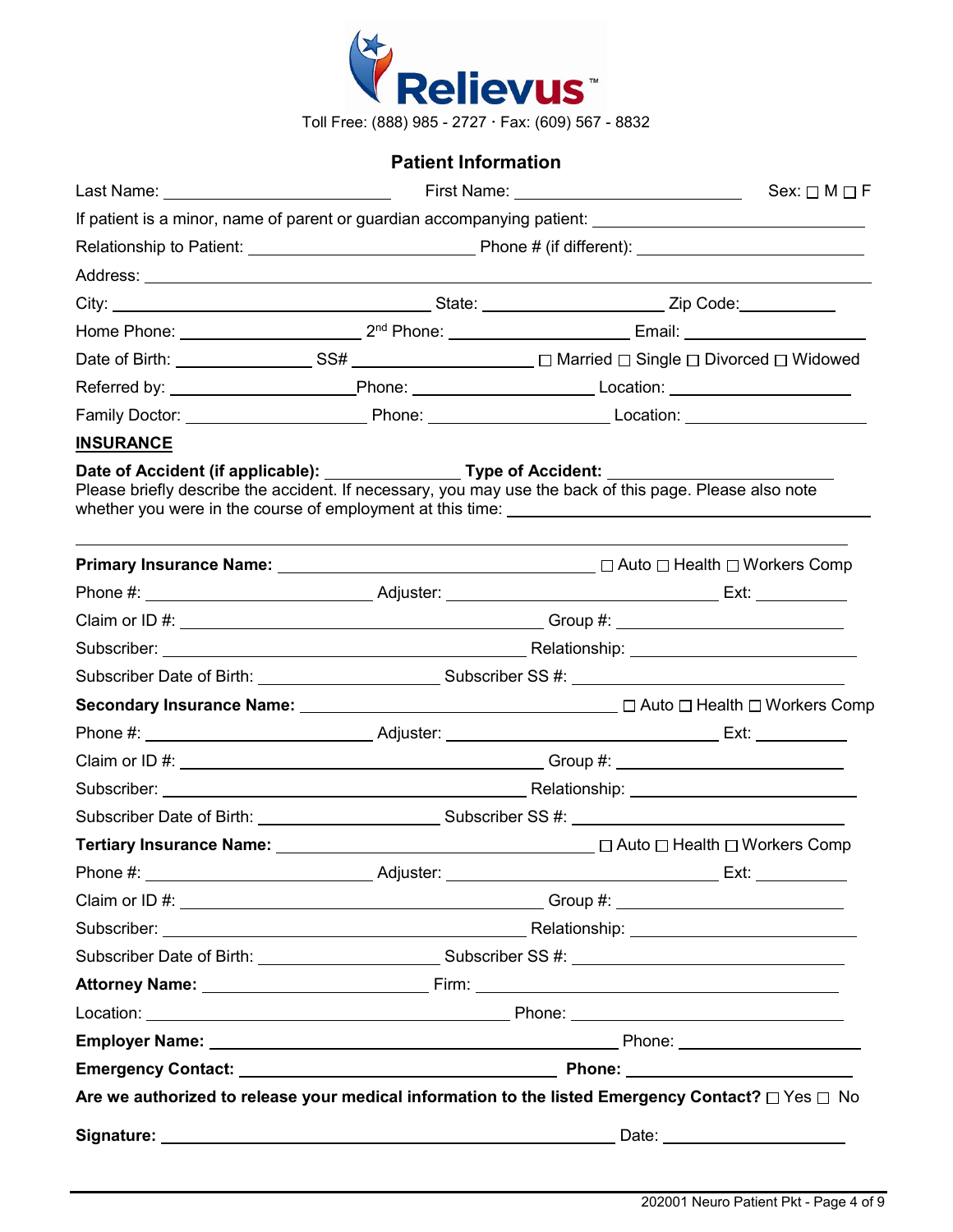

Toll Free: (888) 985 - 2727 Fax: (609) 567 - 8832

## **Patient Information**

|                  |  |                                                                                                                                                                                                                 | $Sex: \Box M \Box F$ |  |
|------------------|--|-----------------------------------------------------------------------------------------------------------------------------------------------------------------------------------------------------------------|----------------------|--|
|                  |  | If patient is a minor, name of parent or guardian accompanying patient: ____________________________                                                                                                            |                      |  |
|                  |  |                                                                                                                                                                                                                 |                      |  |
|                  |  |                                                                                                                                                                                                                 |                      |  |
|                  |  |                                                                                                                                                                                                                 |                      |  |
|                  |  |                                                                                                                                                                                                                 |                      |  |
|                  |  |                                                                                                                                                                                                                 |                      |  |
|                  |  |                                                                                                                                                                                                                 |                      |  |
|                  |  |                                                                                                                                                                                                                 |                      |  |
| <b>INSURANCE</b> |  |                                                                                                                                                                                                                 |                      |  |
|                  |  | Date of Accident (if applicable): ___________________Type of Accident: _____________________________<br>Please briefly describe the accident. If necessary, you may use the back of this page. Please also note |                      |  |
|                  |  |                                                                                                                                                                                                                 |                      |  |
|                  |  |                                                                                                                                                                                                                 |                      |  |
|                  |  |                                                                                                                                                                                                                 |                      |  |
|                  |  |                                                                                                                                                                                                                 |                      |  |
|                  |  |                                                                                                                                                                                                                 |                      |  |
|                  |  |                                                                                                                                                                                                                 |                      |  |
|                  |  |                                                                                                                                                                                                                 |                      |  |
|                  |  |                                                                                                                                                                                                                 |                      |  |
|                  |  |                                                                                                                                                                                                                 |                      |  |
|                  |  |                                                                                                                                                                                                                 |                      |  |
|                  |  |                                                                                                                                                                                                                 |                      |  |
|                  |  |                                                                                                                                                                                                                 |                      |  |
|                  |  |                                                                                                                                                                                                                 |                      |  |
|                  |  |                                                                                                                                                                                                                 |                      |  |
|                  |  |                                                                                                                                                                                                                 |                      |  |
|                  |  |                                                                                                                                                                                                                 |                      |  |
|                  |  |                                                                                                                                                                                                                 |                      |  |
|                  |  |                                                                                                                                                                                                                 |                      |  |
|                  |  |                                                                                                                                                                                                                 |                      |  |
|                  |  | Are we authorized to release your medical information to the listed Emergency Contact? $\Box$ Yes $\Box$ No                                                                                                     |                      |  |
|                  |  |                                                                                                                                                                                                                 |                      |  |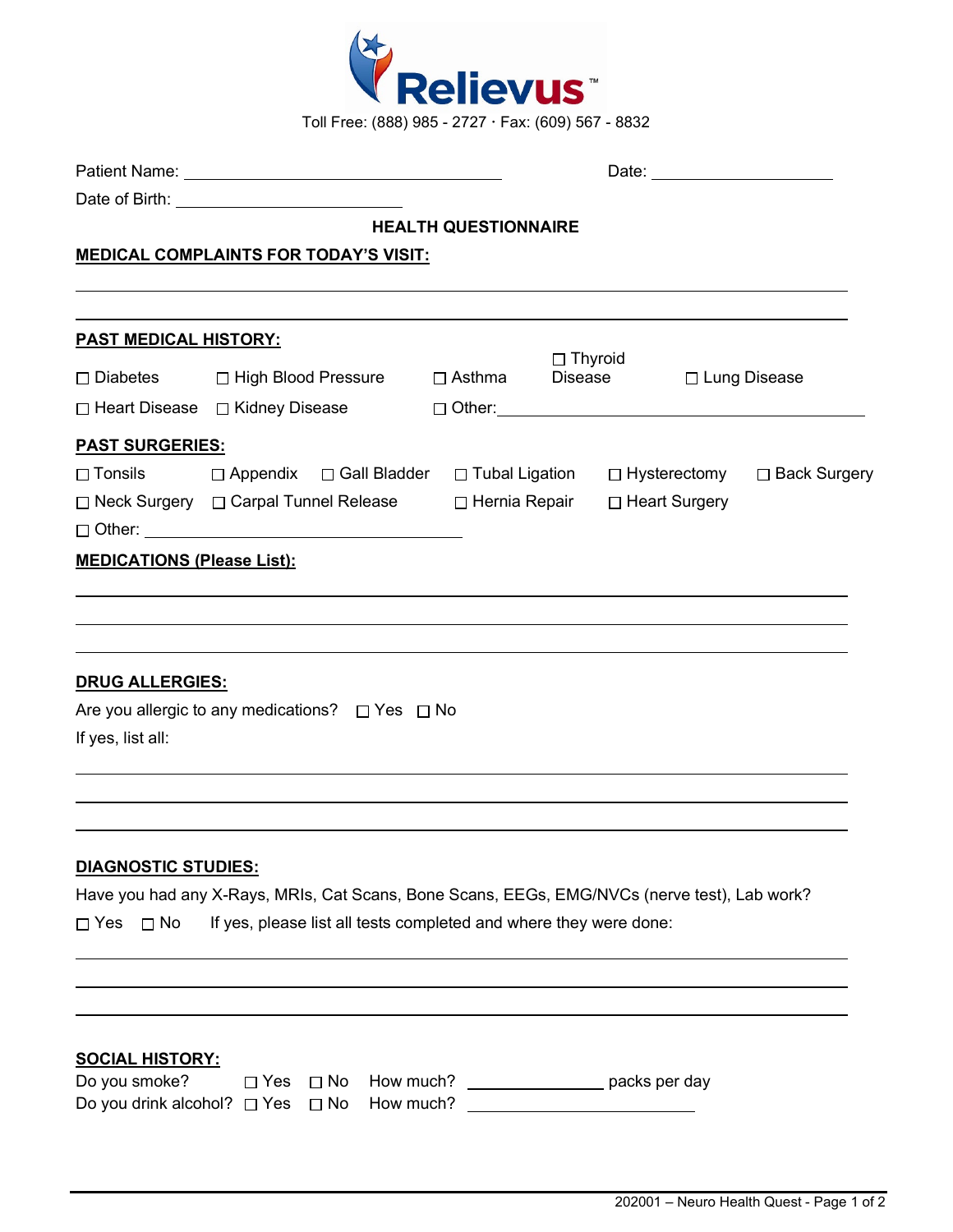

|                                                                        |                                                                                                                                                                                      | <b>HEALTH QUESTIONNAIRE</b> |                |               |  |                |
|------------------------------------------------------------------------|--------------------------------------------------------------------------------------------------------------------------------------------------------------------------------------|-----------------------------|----------------|---------------|--|----------------|
|                                                                        | <b>MEDICAL COMPLAINTS FOR TODAY'S VISIT:</b>                                                                                                                                         |                             |                |               |  |                |
|                                                                        |                                                                                                                                                                                      |                             |                |               |  |                |
| <b>PAST MEDICAL HISTORY:</b>                                           |                                                                                                                                                                                      |                             |                |               |  |                |
|                                                                        | □ Diabetes □ High Blood Pressure □ Asthma                                                                                                                                            |                             | $\Box$ Thyroid | Disease       |  | □ Lung Disease |
|                                                                        |                                                                                                                                                                                      |                             |                |               |  |                |
| <b>PAST SURGERIES:</b>                                                 |                                                                                                                                                                                      |                             |                |               |  |                |
|                                                                        | □ Tonsils □ Appendix □ Gall Bladder □ Tubal Ligation □ Hysterectomy □ Back Surgery<br>□ Neck Surgery □ Carpal Tunnel Release □ Hernia Repair □ Heart Surgery<br>$\Box$ Other: $\Box$ |                             |                |               |  |                |
| <b>MEDICATIONS (Please List):</b>                                      |                                                                                                                                                                                      |                             |                |               |  |                |
| <b>DRUG ALLERGIES:</b>                                                 | Are you allergic to any medications? $\Box$ Yes $\Box$ No                                                                                                                            |                             |                |               |  |                |
| If yes, list all:                                                      |                                                                                                                                                                                      |                             |                |               |  |                |
|                                                                        |                                                                                                                                                                                      |                             |                |               |  |                |
| <b>DIAGNOSTIC STUDIES:</b>                                             |                                                                                                                                                                                      |                             |                |               |  |                |
|                                                                        | Have you had any X-Rays, MRIs, Cat Scans, Bone Scans, EEGs, EMG/NVCs (nerve test), Lab work?                                                                                         |                             |                |               |  |                |
| $\Box$ Yes $\Box$ No                                                   | If yes, please list all tests completed and where they were done:                                                                                                                    |                             |                |               |  |                |
|                                                                        |                                                                                                                                                                                      |                             |                |               |  |                |
|                                                                        |                                                                                                                                                                                      |                             |                |               |  |                |
| <b>SOCIAL HISTORY:</b><br>Do you smoke?<br>Do you drink alcohol? □ Yes | How much?<br>$\Box$ No<br>$\Box$ Yes<br>How much?<br>$\square$ No                                                                                                                    |                             |                | packs per day |  |                |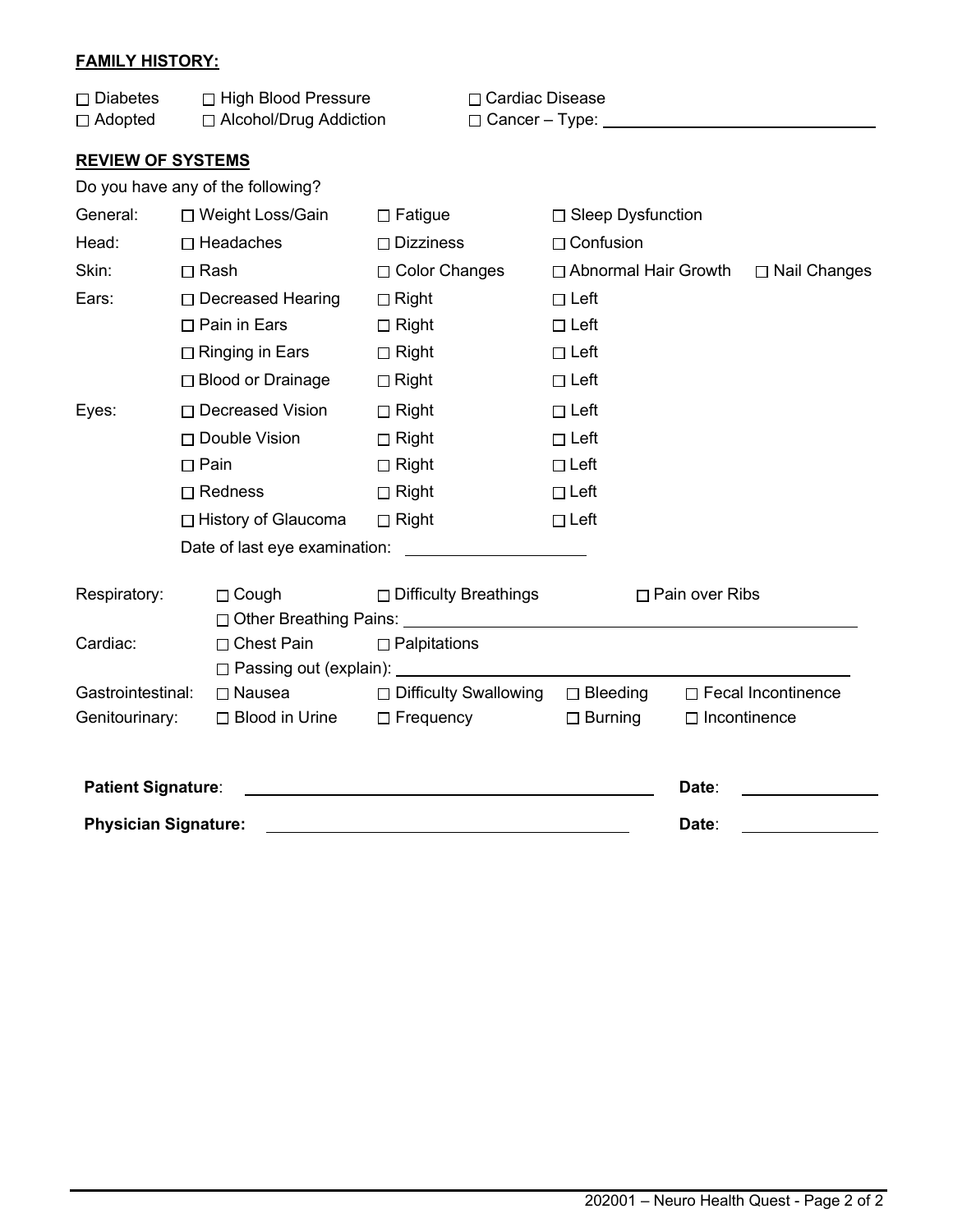## **FAMILY HISTORY:**

| $\Box$ Diabetes               | $\Box$ High Blood Pressure<br>□ Alcohol/Drug Addiction |                                   |                              | □ Cardiac Disease<br>$\Box$ Cancer – Type: $\Box$ |                        |                       |                           |
|-------------------------------|--------------------------------------------------------|-----------------------------------|------------------------------|---------------------------------------------------|------------------------|-----------------------|---------------------------|
| $\Box$ Adopted                |                                                        |                                   |                              |                                                   |                        |                       |                           |
| <b>REVIEW OF SYSTEMS</b>      |                                                        |                                   |                              |                                                   |                        |                       |                           |
|                               |                                                        | Do you have any of the following? |                              |                                                   |                        |                       |                           |
| General:                      |                                                        | □ Weight Loss/Gain                | $\Box$ Fatigue               |                                                   | □ Sleep Dysfunction    |                       |                           |
| Head:                         |                                                        | $\Box$ Headaches                  | $\Box$ Dizziness             |                                                   | $\Box$ Confusion       |                       |                           |
| Skin:                         |                                                        | $\Box$ Rash                       | □ Color Changes              |                                                   | □ Abnormal Hair Growth |                       | □ Nail Changes            |
| Ears:                         |                                                        | □ Decreased Hearing               | $\Box$ Right                 |                                                   | $\Box$ Left            |                       |                           |
|                               |                                                        | $\Box$ Pain in Ears               | $\Box$ Right                 |                                                   | $\Box$ Left            |                       |                           |
|                               |                                                        | $\Box$ Ringing in Ears            | $\Box$ Right                 |                                                   | $\Box$ Left            |                       |                           |
|                               |                                                        | □ Blood or Drainage               | $\Box$ Right                 |                                                   | $\Box$ Left            |                       |                           |
| Eyes:                         |                                                        | □ Decreased Vision                | $\Box$ Right                 |                                                   | $\Box$ Left            |                       |                           |
|                               |                                                        | □ Double Vision                   | $\Box$ Right                 |                                                   | $\Box$ Left            |                       |                           |
|                               |                                                        | $\Box$ Pain                       | $\Box$ Right                 |                                                   | $\Box$ Left            |                       |                           |
|                               |                                                        | $\Box$ Redness                    | $\Box$ Right                 |                                                   | $\Box$ Left            |                       |                           |
|                               |                                                        | □ History of Glaucoma             | $\Box$ Right                 |                                                   | $\Box$ Left            |                       |                           |
|                               |                                                        |                                   |                              |                                                   |                        |                       |                           |
| Respiratory:                  |                                                        | $\Box$ Cough                      | $\Box$ Difficulty Breathings |                                                   |                        | $\Box$ Pain over Ribs |                           |
|                               |                                                        |                                   |                              |                                                   |                        |                       |                           |
| Cardiac:<br>$\Box$ Chest Pain |                                                        | $\Box$ Palpitations               |                              |                                                   |                        |                       |                           |
|                               |                                                        |                                   |                              |                                                   |                        |                       |                           |
| Gastrointestinal:             |                                                        | $\Box$ Nausea                     | □ Difficulty Swallowing      |                                                   | $\Box$ Bleeding        |                       | $\Box$ Fecal Incontinence |
| Genitourinary:                |                                                        | $\Box$ Blood in Urine             | $\Box$ Frequency             |                                                   | $\Box$ Burning         | $\Box$ Incontinence   |                           |
| <b>Patient Signature:</b>     |                                                        |                                   |                              |                                                   |                        | Date:                 |                           |
| <b>Physician Signature:</b>   |                                                        |                                   |                              | Date:                                             |                        |                       |                           |
|                               |                                                        |                                   |                              |                                                   |                        |                       |                           |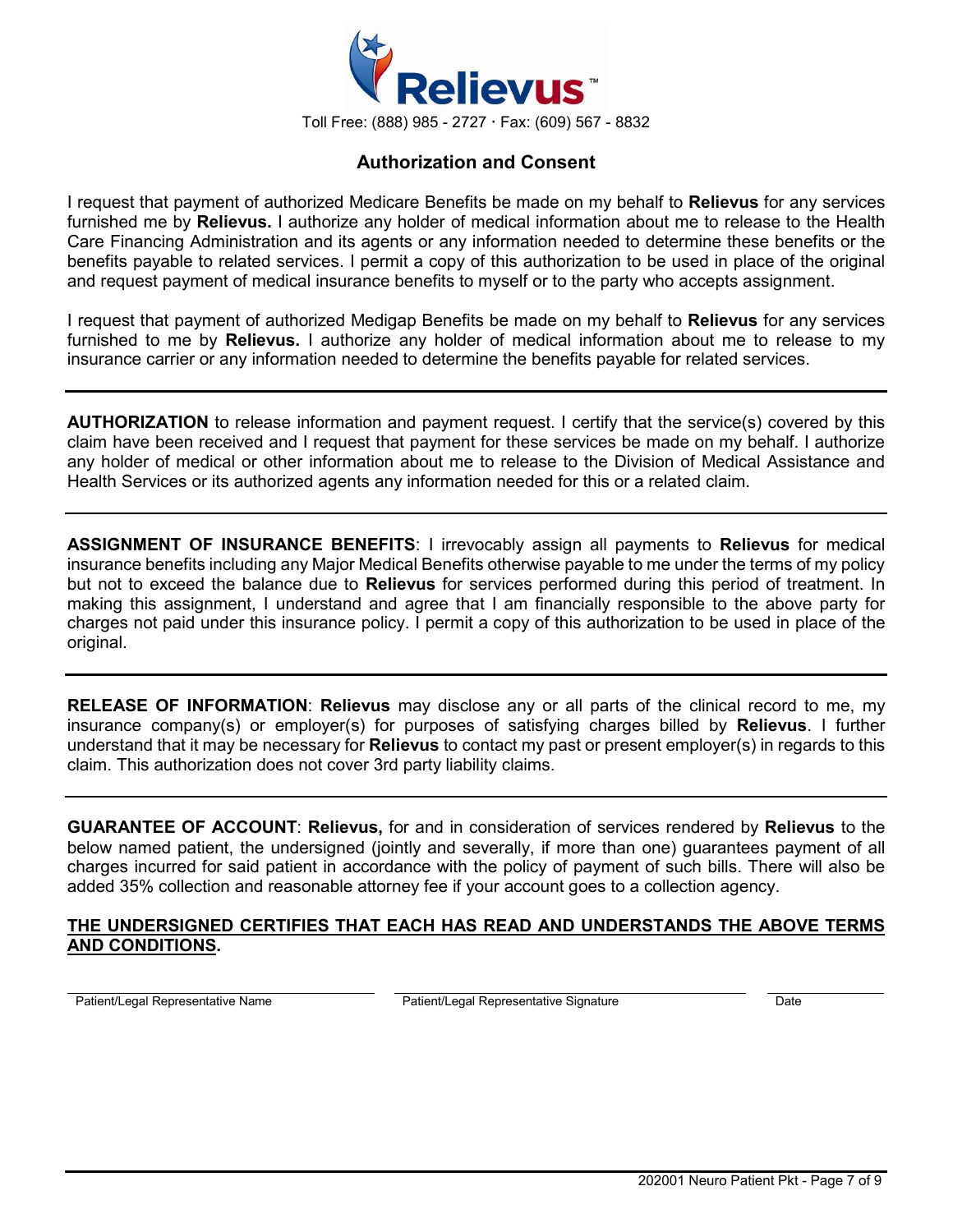

## **Authorization and Consent**

I request that payment of authorized Medicare Benefits be made on my behalf to **Relievus** for any services furnished me by **Relievus.** I authorize any holder of medical information about me to release to the Health Care Financing Administration and its agents or any information needed to determine these benefits or the benefits payable to related services. I permit a copy of this authorization to be used in place of the original and request payment of medical insurance benefits to myself or to the party who accepts assignment.

I request that payment of authorized Medigap Benefits be made on my behalf to **Relievus** for any services furnished to me by **Relievus.** I authorize any holder of medical information about me to release to my insurance carrier or any information needed to determine the benefits payable for related services.

**AUTHORIZATION** to release information and payment request. I certify that the service(s) covered by this claim have been received and I request that payment for these services be made on my behalf. I authorize any holder of medical or other information about me to release to the Division of Medical Assistance and Health Services or its authorized agents any information needed for this or a related claim.

**ASSIGNMENT OF INSURANCE BENEFITS**: I irrevocably assign all payments to **Relievus** for medical insurance benefits including any Major Medical Benefits otherwise payable to me under the terms of my policy but not to exceed the balance due to **Relievus** for services performed during this period of treatment. In making this assignment, I understand and agree that I am financially responsible to the above party for charges not paid under this insurance policy. I permit a copy of this authorization to be used in place of the original.

**RELEASE OF INFORMATION**: **Relievus** may disclose any or all parts of the clinical record to me, my insurance company(s) or employer(s) for purposes of satisfying charges billed by **Relievus**. I further understand that it may be necessary for **Relievus** to contact my past or present employer(s) in regards to this claim. This authorization does not cover 3rd party liability claims.

**GUARANTEE OF ACCOUNT**: **Relievus,** for and in consideration of services rendered by **Relievus** to the below named patient, the undersigned (jointly and severally, if more than one) guarantees payment of all charges incurred for said patient in accordance with the policy of payment of such bills. There will also be added 35% collection and reasonable attorney fee if your account goes to a collection agency.

#### **THE UNDERSIGNED CERTIFIES THAT EACH HAS READ AND UNDERSTANDS THE ABOVE TERMS AND CONDITIONS.**

Patient/Legal Representative Name Patient/Legal Representative Signature Date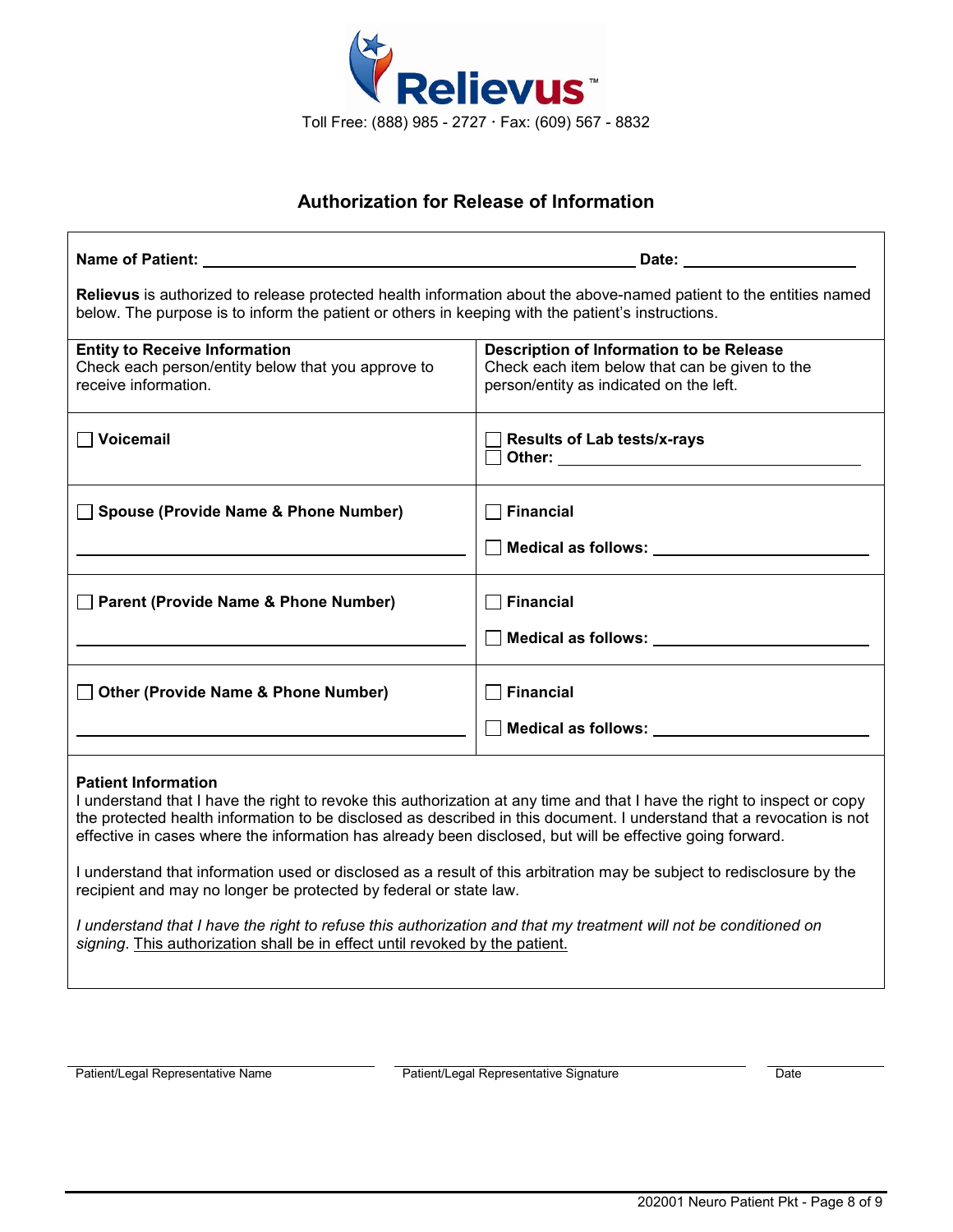

# **Authorization for Release of Information**

|                                                                                                                                                                                                                                                                                                                                                                                                                                                                                                                                                                                                                                                                                                                | Date: ________________________                                                                                                        |  |  |  |
|----------------------------------------------------------------------------------------------------------------------------------------------------------------------------------------------------------------------------------------------------------------------------------------------------------------------------------------------------------------------------------------------------------------------------------------------------------------------------------------------------------------------------------------------------------------------------------------------------------------------------------------------------------------------------------------------------------------|---------------------------------------------------------------------------------------------------------------------------------------|--|--|--|
| Relievus is authorized to release protected health information about the above-named patient to the entities named<br>below. The purpose is to inform the patient or others in keeping with the patient's instructions.                                                                                                                                                                                                                                                                                                                                                                                                                                                                                        |                                                                                                                                       |  |  |  |
| <b>Entity to Receive Information</b><br>Check each person/entity below that you approve to<br>receive information.                                                                                                                                                                                                                                                                                                                                                                                                                                                                                                                                                                                             | Description of Information to be Release<br>Check each item below that can be given to the<br>person/entity as indicated on the left. |  |  |  |
| $\Box$ Voicemail                                                                                                                                                                                                                                                                                                                                                                                                                                                                                                                                                                                                                                                                                               | <b>Results of Lab tests/x-rays</b>                                                                                                    |  |  |  |
| Spouse (Provide Name & Phone Number)                                                                                                                                                                                                                                                                                                                                                                                                                                                                                                                                                                                                                                                                           | $\Box$ Financial<br>Medical as follows: Network of Medical as follows:                                                                |  |  |  |
| Parent (Provide Name & Phone Number)                                                                                                                                                                                                                                                                                                                                                                                                                                                                                                                                                                                                                                                                           | <b>Financial</b><br>Medical as follows: Network and Second Medical as follows:                                                        |  |  |  |
| □ Other (Provide Name & Phone Number)                                                                                                                                                                                                                                                                                                                                                                                                                                                                                                                                                                                                                                                                          | $\Box$ Financial                                                                                                                      |  |  |  |
| <b>Patient Information</b><br>I understand that I have the right to revoke this authorization at any time and that I have the right to inspect or copy<br>the protected health information to be disclosed as described in this document. I understand that a revocation is not<br>effective in cases where the information has already been disclosed, but will be effective going forward.<br>I understand that information used or disclosed as a result of this arbitration may be subject to redisclosure by the<br>recipient and may no longer be protected by federal or state law.<br>I understand that I have the right to refuse this authorization and that my treatment will not be conditioned on |                                                                                                                                       |  |  |  |
| signing. This authorization shall be in effect until revoked by the patient.                                                                                                                                                                                                                                                                                                                                                                                                                                                                                                                                                                                                                                   |                                                                                                                                       |  |  |  |

Patient/Legal Representative Name **Patient/Legal Representative Signature** Patient/Legal Representative Signature